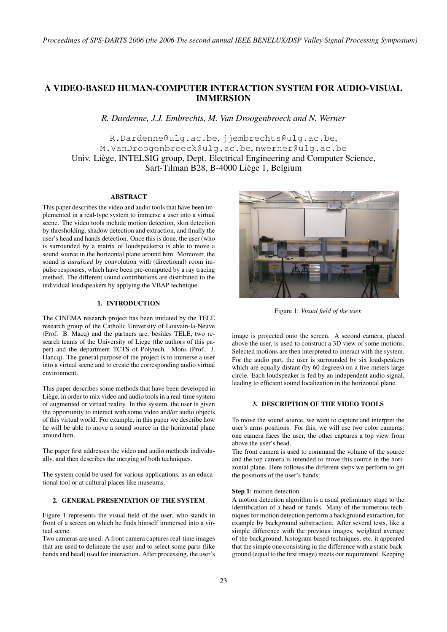*Proceedings of SPS-DARTS 2006 (the 2006 The second annual IEEE BENELUX/DSP Valley Signal Processing Symposium)*

# A VIDEO-BASED HUMAN-COMPUTER INTERACTION SYSTEM FOR AUDIO-VISUAL IMMERSION

*R. Dardenne, J.J. Embrechts, M. Van Droogenbroeck and N. Werner*

R.Dardenne@ulg.ac.be, jjembrechts@ulg.ac.be, M.VanDroogenbroeck@ulg.ac.be, nwerner@ulg.ac.be Univ. Liege, INTELSIG group, Dept. Electrical Engineering and Computer Science, ` Sart-Tilman B28, B-4000 Liege 1, Belgium `

# ABSTRACT

This paper describes the video and audio tools that have been implemented in a real-type system to immerse a user into a virtual scene. The video tools include motion detection, skin detection by thresholding, shadow detection and extraction, and finally the user's head and hands detection. Once this is done, the user (who is surrounded by a matrix of loudspeakers) is able to move a sound source in the horizontal plane around him. Moreover, the sound is *auralized* by convolution with (directional) room impulse responses, which have been pre-computed by a ray tracing method. The different sound contributions are distributed to the individual loudspeakers by applying the VBAP technique.

# 1. INTRODUCTION

The CINEMA research project has been initiated by the TELE research group of the Catholic University of Louvain-la-Neuve (Prof. B. Macq) and the partners are, besides TELE, two research teams of the University of Liege (the authors of this paper) and the department TCTS of Polytech. Mons (Prof. J. Hancq). The general purpose of the project is to immerse a user into a virtual scene and to create the corresponding audio virtual environment.

This paper describes some methods that have been developed in Liège, in order to mix video and audio tools in a real-time system of augmented or virtual reality. In this system, the user is given the opportunity to interact with some video and/or audio objects of this virtual world. For example, in this paper we describe how he will be able to move a sound source in the horizontal plane around him.

The paper first addresses the video and audio methods individually, and then describes the merging of both techniques.

The system could be used for various applications, as an educational tool or at cultural places like museums.

# 2. GENERAL PRESENTATION OF THE SYSTEM

Figure 1 represents the visual field of the user, who stands in front of a screen on which he finds himself immersed into a virtual scene.

Two cameras are used. A front camera captures real-time images that are used to delineate the user and to select some parts (like hands and head) used for interaction. After processing, the user's



Figure 1: *Visual field of the user.*

image is projected onto the screen. A second camera, placed above the user, is used to construct a 3D view of some motions. Selected motions are then interpreted to interact with the system. For the audio part, the user is surrounded by six loudspeakers which are equally distant (by 60 degrees) on a five meters large circle. Each loudspeaker is fed by an independent audio signal, leading to efficient sound localization in the horizontal plane.

#### 3. DESCRIPTION OF THE VIDEO TOOLS

To move the sound source, we want to capture and interpret the user's arms positions. For this, we will use two color cameras: one camera faces the user, the other captures a top view from above the user's head.

The front camera is used to command the volume of the source and the top camera is intended to move this source in the horizontal plane. Here follows the different steps we perform to get the positions of the user's hands:

#### Step 1: motion detection.

A motion detection algorithm is a usual preliminary stage to the identification of a head or hands. Many of the numerous techniques for motion detection perform a background extraction, for example by background substraction. After several tests, like a simple difference with the previous images, weighted average of the background, histogram based techniques, etc, it appeared that the simple one consisting in the difference with a static background (equal to the first image) meets our requirement. Keeping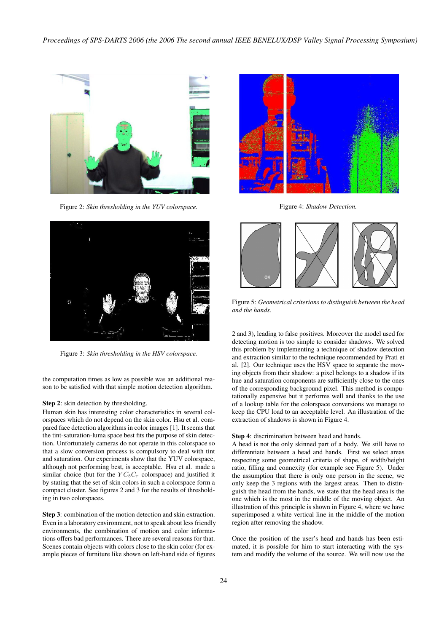

Figure 2: *Skin thresholding in the YUV colorspace.*



Figure 3: *Skin thresholding in the HSV colorspace.*

the computation times as low as possible was an additional reason to be satisfied with that simple motion detection algorithm.

#### Step 2: skin detection by thresholding.

Human skin has interesting color characteristics in several colorspaces which do not depend on the skin color. Hsu et al. compared face detection algorithms in color images [1]. It seems that the tint-saturation-luma space best fits the purpose of skin detection. Unfortunately cameras do not operate in this colorspace so that a slow conversion process is compulsory to deal with tint and saturation. Our experiments show that the YUV colorspace, although not performing best, is acceptable. Hsu et al. made a similar choice (but for the  $YC_bC_r$  colorspace) and justified it by stating that the set of skin colors in such a colorspace form a compact cluster. See figures 2 and 3 for the results of thresholding in two colorspaces.

Step 3: combination of the motion detection and skin extraction. Even in a laboratory environment, not to speak about less friendly environments, the combination of motion and color informations offers bad performances. There are several reasons for that. Scenes contain objects with colors close to the skin color (for example pieces of furniture like shown on left-hand side of figures



Figure 4: *Shadow Detection.*



Figure 5: *Geometrical criterions to distinguish between the head and the hands.*

2 and 3), leading to false positives. Moreover the model used for detecting motion is too simple to consider shadows. We solved this problem by implementing a technique of shadow detection and extraction similar to the technique recommended by Prati et al. [2]. Our technique uses the HSV space to separate the moving objects from their shadow: a pixel belongs to a shadow if its hue and saturation components are sufficiently close to the ones of the corresponding background pixel. This method is computationally expensive but it performs well and thanks to the use of a lookup table for the colorspace conversions we manage to keep the CPU load to an acceptable level. An illustration of the extraction of shadows is shown in Figure 4.

#### Step 4: discrimination between head and hands.

A head is not the only skinned part of a body. We still have to differentiate between a head and hands. First we select areas respecting some geometrical criteria of shape, of width/height ratio, filling and connexity (for example see Figure 5). Under the assumption that there is only one person in the scene, we only keep the 3 regions with the largest areas. Then to distinguish the head from the hands, we state that the head area is the one which is the most in the middle of the moving object. An illustration of this principle is shown in Figure 4, where we have superimposed a white vertical line in the middle of the motion region after removing the shadow.

Once the position of the user's head and hands has been estimated, it is possible for him to start interacting with the system and modify the volume of the source. We will now use the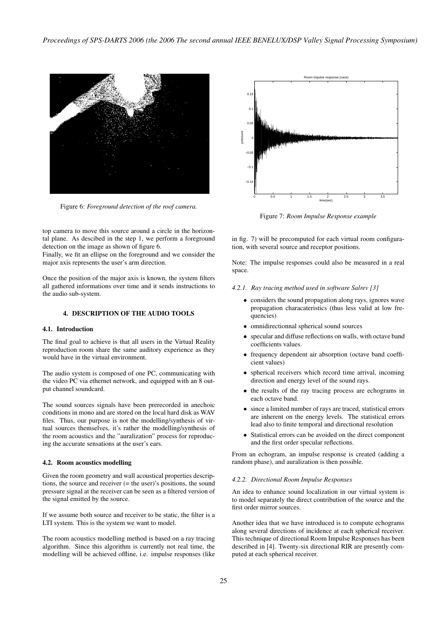

Figure 6: *Foreground detection of the roof camera.*

top camera to move this source around a circle in the horizontal plane. As descibed in the step 1, we perform a foreground detection on the image as shown of figure 6.

Finally, we fit an ellipse on the foreground and we consider the major axis represents the user's arm direction.

Once the position of the major axis is known, the system filters all gathered informations over time and it sends instructions to the audio sub-system.

#### 4. DESCRIPTION OF THE AUDIO TOOLS

#### 4.1. Introduction

The final goal to achieve is that all users in the Virtual Reality reproduction room share the same auditory experience as they would have in the virtual environment.

The audio system is composed of one PC, communicating with the video PC via ethernet network, and equipped with an 8 output channel soundcard.

The sound sources signals have been prerecorded in anechoic conditions in mono and are stored on the local hard disk as WAV files. Thus, our purpose is not the modelling/synthesis of virtual sources themselves, it's rather the modelling/synthesis of the room acoustics and the "auralization" process for reproducing the accurate sensations at the user's ears.

#### 4.2. Room acoustics modelling

Given the room geometry and wall acoustical properties descriptions, the source and receiver (= the user)'s positions, the sound pressure signal at the receiver can be seen as a filtered version of the signal emitted by the source.

If we assume both source and receiver to be static, the filter is a LTI system. This is the system we want to model.

The room acoustics modelling method is based on a ray tracing algorithm. Since this algorithm is currently not real time, the modelling will be achieved offline, i.e. impulse responses (like



Figure 7: *Room Impulse Response example*

in fig. 7) will be precomputed for each virtual room configuration, with several source and receptor positions.

Note: The impulse responses could also be measured in a real space.

#### *4.2.1. Ray tracing method used in software Salrev [3]*

- considers the sound propagation along rays, ignores wave propagation characateristics (thus less valid at low frequencies)
- omnidirectionnal spherical sound sources
- specular and diffuse reflections on walls, with octave band coefficients values.
- frequency dependent air absorption (octave band coefficient values)
- spherical receivers which record time arrival, incoming direction and energy level of the sound rays.
- the results of the ray tracing process are echograms in each octave band.
- since a limited number of rays are traced, statistical errors are inherent on the energy levels. The statistical errors lead also to finite temporal and directional resolution
- Statistical errors can be avoided on the direct component and the first order specular reflections.

From an echogram, an impulse response is created (adding a random phase), and auralization is then possible.

#### *4.2.2. Directional Room Impulse Responses*

An idea to enhance sound localization in our virtual system is to model separately the direct contribution of the source and the first order mirror sources.

Another idea that we have introduced is to compute echograms along several directions of incidence at each spherical receiver. This technique of directional Room Impulse Responses has been described in [4]. Twenty-six directional RIR are presently computed at each spherical receiver.